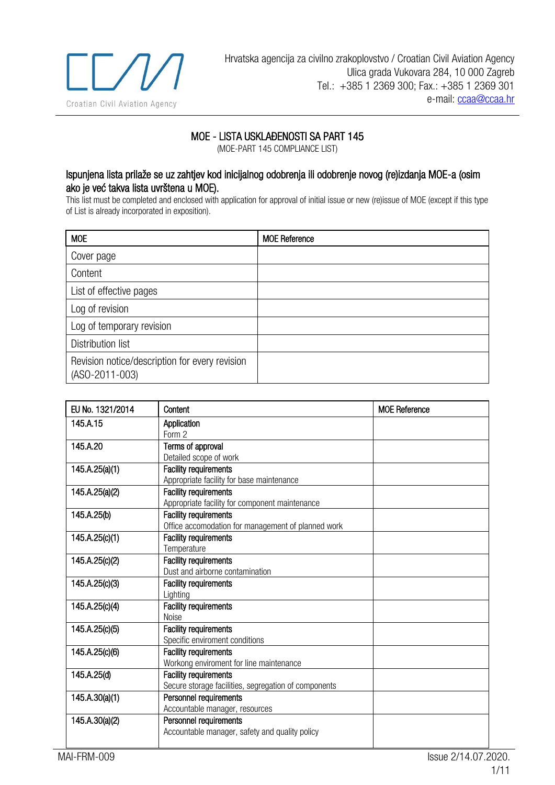

## MOE - LISTA USKLAĐENOSTI SA PART 145

(MOE-PART 145 COMPLIANCE LIST)

## Ispunjena lista prilaže se uz zahtjev kod inicijalnog odobrenja ili odobrenje novog (re)izdanja MOE-a (osim ako je već takva lista uvrštena u MOE).

This list must be completed and enclosed with application for approval of initial issue or new (re)issue of MOE (except if this type of List is already incorporated in exposition).

| <b>MOE</b>                                                       | <b>MOE Reference</b> |
|------------------------------------------------------------------|----------------------|
| Cover page                                                       |                      |
| Content                                                          |                      |
| List of effective pages                                          |                      |
| Log of revision                                                  |                      |
| Log of temporary revision                                        |                      |
| <b>Distribution list</b>                                         |                      |
| Revision notice/description for every revision<br>(ASO-2011-003) |                      |

| EU No. 1321/2014 | Content                                              | <b>MOE Reference</b> |
|------------------|------------------------------------------------------|----------------------|
| 145.A.15         | Application                                          |                      |
|                  | Form 2                                               |                      |
| 145.A.20         | Terms of approval                                    |                      |
|                  | Detailed scope of work                               |                      |
| 145.A.25(a)(1)   | <b>Facility requirements</b>                         |                      |
|                  | Appropriate facility for base maintenance            |                      |
| 145.A.25(a)(2)   | <b>Facility requirements</b>                         |                      |
|                  | Appropriate facility for component maintenance       |                      |
| 145.A.25(b)      | <b>Facility requirements</b>                         |                      |
|                  | Office accomodation for management of planned work   |                      |
| 145.A.25(c)(1)   | <b>Facility requirements</b>                         |                      |
|                  | Temperature                                          |                      |
| 145.A.25(c)(2)   | <b>Facility requirements</b>                         |                      |
|                  | Dust and airborne contamination                      |                      |
| 145.A.25(c)(3)   | <b>Facility requirements</b>                         |                      |
|                  | Lighting                                             |                      |
| 145.A.25(c)(4)   | <b>Facility requirements</b>                         |                      |
|                  | Noise                                                |                      |
| 145.A.25(c)(5)   | <b>Facility requirements</b>                         |                      |
|                  | Specific enviroment conditions                       |                      |
| 145.A.25(c)(6)   | <b>Facility requirements</b>                         |                      |
|                  | Workong enviroment for line maintenance              |                      |
| 145.A.25(d)      | <b>Facility requirements</b>                         |                      |
|                  | Secure storage facilities, segregation of components |                      |
| 145.A.30(a)(1)   | Personnel requirements                               |                      |
|                  | Accountable manager, resources                       |                      |
| 145.A.30(a)(2)   | Personnel requirements                               |                      |
|                  | Accountable manager, safety and quality policy       |                      |
|                  |                                                      |                      |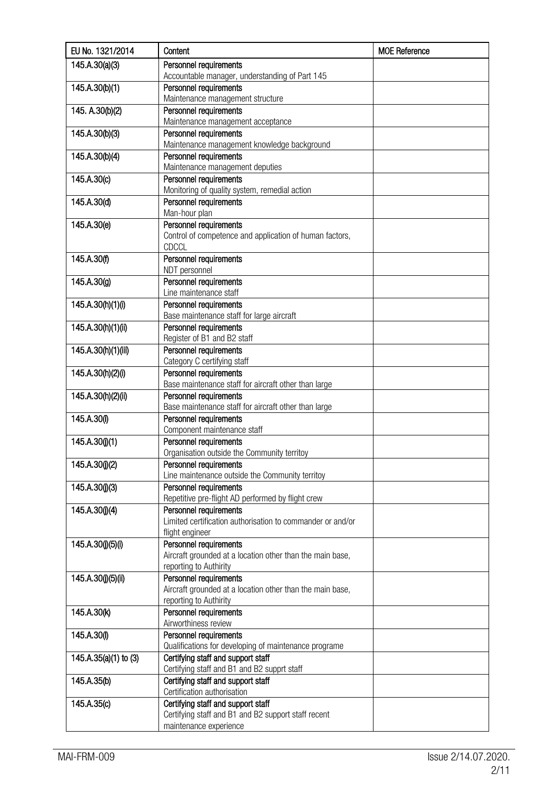| EU No. 1321/2014      | Content                                                                         | <b>MOE Reference</b> |
|-----------------------|---------------------------------------------------------------------------------|----------------------|
| 145.A.30(a)(3)        | Personnel requirements                                                          |                      |
|                       | Accountable manager, understanding of Part 145                                  |                      |
| 145.A.30(b)(1)        | Personnel requirements                                                          |                      |
|                       | Maintenance management structure                                                |                      |
| 145. A.30(b)(2)       | Personnel requirements                                                          |                      |
|                       | Maintenance management acceptance                                               |                      |
| 145.A.30(b)(3)        | Personnel requirements                                                          |                      |
|                       | Maintenance management knowledge background                                     |                      |
| 145.A.30(b)(4)        | Personnel requirements                                                          |                      |
|                       | Maintenance management deputies                                                 |                      |
| 145.A.30(c)           | Personnel requirements                                                          |                      |
| 145.A.30(d)           | Monitoring of quality system, remedial action<br>Personnel requirements         |                      |
|                       | Man-hour plan                                                                   |                      |
| 145.A.30(e)           | Personnel requirements                                                          |                      |
|                       | Control of competence and application of human factors,                         |                      |
|                       | <b>CDCCL</b>                                                                    |                      |
| 145.A.30(f)           | Personnel requirements                                                          |                      |
|                       | NDT personnel                                                                   |                      |
| 145.A.30(g)           | Personnel requirements                                                          |                      |
|                       | Line maintenance staff                                                          |                      |
| 145.A.30(h)(1)(i)     | Personnel requirements                                                          |                      |
|                       | Base maintenance staff for large aircraft                                       |                      |
| 145.A.30(h)(1)(ii)    | Personnel requirements                                                          |                      |
|                       | Register of B1 and B2 staff                                                     |                      |
| 145.A.30(h)(1)(iii)   | Personnel requirements                                                          |                      |
|                       | Category C certifying staff                                                     |                      |
| 145.A.30(h)(2)(i)     | Personnel requirements                                                          |                      |
|                       | Base maintenance staff for aircraft other than large                            |                      |
| 145.A.30(h)(2)(ii)    | Personnel requirements                                                          |                      |
|                       | Base maintenance staff for aircraft other than large                            |                      |
| 145.A.30(i)           | Personnel requirements<br>Component maintenance staff                           |                      |
| 145.A.30(j)(1)        | Personnel requirements                                                          |                      |
|                       | Organisation outside the Community territoy                                     |                      |
| 145.A.30(j)(2)        | Personnel requirements                                                          |                      |
|                       | Line maintenance outside the Community territoy                                 |                      |
| 145.A.30(j)(3)        | Personnel requirements                                                          |                      |
|                       | Repetitive pre-flight AD performed by flight crew                               |                      |
| 145.A.30(j)(4)        | Personnel requirements                                                          |                      |
|                       | Limited certification authorisation to commander or and/or                      |                      |
|                       | flight engineer                                                                 |                      |
| 145.A.30(j)(5)(i)     | Personnel requirements                                                          |                      |
|                       | Aircraft grounded at a location other than the main base,                       |                      |
|                       | reporting to Authirity                                                          |                      |
| 145.A.30(j)(5)(ii)    | Personnel requirements                                                          |                      |
|                       | Aircraft grounded at a location other than the main base,                       |                      |
|                       | reporting to Authirity                                                          |                      |
| 145.A.30(k)           | Personnel requirements                                                          |                      |
|                       | Airworthiness review                                                            |                      |
| 145.A.30(I)           | Personnel requirements<br>Qualifications for developing of maintenance programe |                      |
| 145.A.35(a)(1) to (3) | Certifying staff and support staff                                              |                      |
|                       | Certifying staff and B1 and B2 supprt staff                                     |                      |
| 145.A.35(b)           | Certifying staff and support staff                                              |                      |
|                       | Certification authorisation                                                     |                      |
| 145.A.35(c)           | Certifying staff and support staff                                              |                      |
|                       | Certifying staff and B1 and B2 support staff recent                             |                      |
|                       | maintenance experience                                                          |                      |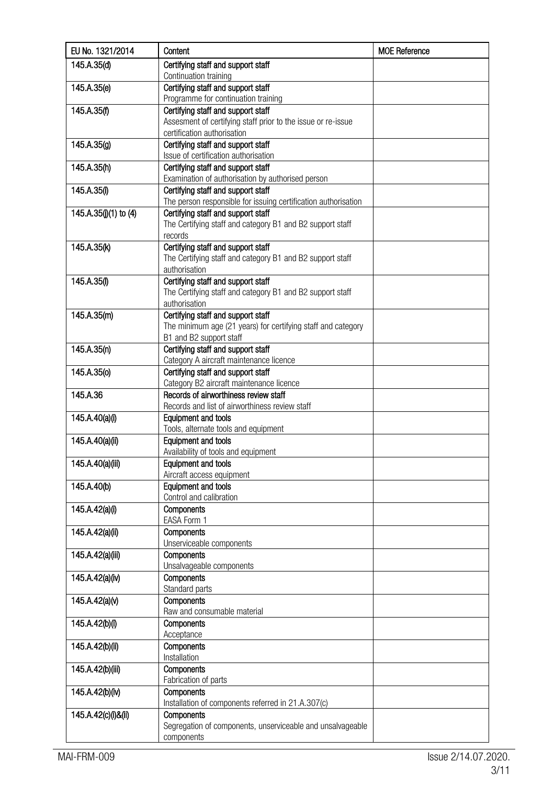| EU No. 1321/2014      | Content                                                                                              | <b>MOE Reference</b> |
|-----------------------|------------------------------------------------------------------------------------------------------|----------------------|
| 145.A.35(d)           | Certifying staff and support staff                                                                   |                      |
|                       | Continuation training                                                                                |                      |
| 145.A.35(e)           | Certifying staff and support staff<br>Programme for continuation training                            |                      |
| 145.A.35(f)           | Certifying staff and support staff                                                                   |                      |
|                       | Assesment of certifying staff prior to the issue or re-issue                                         |                      |
|                       | certification authorisation                                                                          |                      |
| 145.A.35(g)           | Certifying staff and support staff                                                                   |                      |
|                       | Issue of certification authorisation                                                                 |                      |
| 145.A.35(h)           | Certifying staff and support staff                                                                   |                      |
|                       | Examination of authorisation by authorised person                                                    |                      |
| 145.A.35(i)           | Certifying staff and support staff<br>The person responsible for issuing certification authorisation |                      |
| 145.A.35(j)(1) to (4) | Certifying staff and support staff                                                                   |                      |
|                       | The Certifying staff and category B1 and B2 support staff                                            |                      |
|                       | records                                                                                              |                      |
| 145.A.35(k)           | Certifying staff and support staff                                                                   |                      |
|                       | The Certifying staff and category B1 and B2 support staff                                            |                      |
|                       | authorisation                                                                                        |                      |
| 145.A.35(I)           | Certifying staff and support staff                                                                   |                      |
|                       | The Certifying staff and category B1 and B2 support staff                                            |                      |
| 145.A.35(m)           | authorisation<br>Certifying staff and support staff                                                  |                      |
|                       | The minimum age (21 years) for certifying staff and category                                         |                      |
|                       | B1 and B2 support staff                                                                              |                      |
| 145.A.35(n)           | Certifying staff and support staff                                                                   |                      |
|                       | Category A aircraft maintenance licence                                                              |                      |
| 145.A.35(0)           | Certifying staff and support staff                                                                   |                      |
|                       | Category B2 aircraft maintenance licence                                                             |                      |
| 145.A.36              | Records of airworthiness review staff                                                                |                      |
|                       | Records and list of airworthiness review staff                                                       |                      |
| 145.A.40(a)(i)        | <b>Equipment and tools</b><br>Tools, alternate tools and equipment                                   |                      |
| 145.A.40(a)(ii)       | <b>Equipment and tools</b>                                                                           |                      |
|                       | Availability of tools and equipment                                                                  |                      |
| 145.A.40(a)(iii)      | <b>Equipment and tools</b>                                                                           |                      |
|                       | Aircraft access equipment                                                                            |                      |
| 145.A.40(b)           | <b>Equipment and tools</b>                                                                           |                      |
|                       | Control and calibration                                                                              |                      |
| 145.A.42(a)(i)        | Components                                                                                           |                      |
|                       | EASA Form 1<br>Components                                                                            |                      |
| 145.A.42(a)(ii)       | Unserviceable components                                                                             |                      |
| 145.A.42(a)(iii)      | Components                                                                                           |                      |
|                       | Unsalvageable components                                                                             |                      |
| 145.A.42(a)(iv)       | Components                                                                                           |                      |
|                       | Standard parts                                                                                       |                      |
| 145.A.42(a)(v)        | Components                                                                                           |                      |
|                       | Raw and consumable material                                                                          |                      |
| 145.A.42(b)(i)        | Components<br>Acceptance                                                                             |                      |
| 145.A.42(b)(ii)       | Components                                                                                           |                      |
|                       | Installation                                                                                         |                      |
| 145.A.42(b)(iii)      | Components                                                                                           |                      |
|                       | Fabrication of parts                                                                                 |                      |
| 145.A.42(b)(iv)       | Components                                                                                           |                      |
|                       | Installation of components referred in 21.A.307(c)                                                   |                      |
| 145.A.42(c)(i)&(ii)   | Components                                                                                           |                      |
|                       | Segregation of components, unserviceable and unsalvageable                                           |                      |
|                       | components                                                                                           |                      |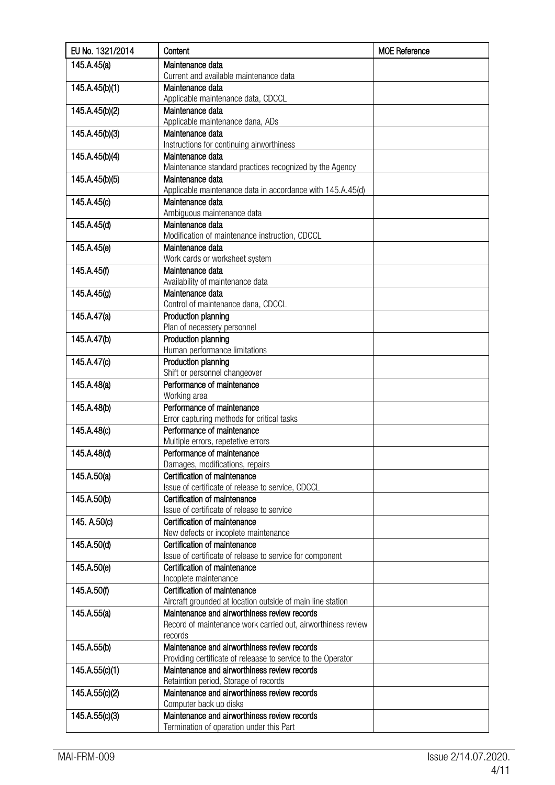| EU No. 1321/2014 | Content                                                              | <b>MOE Reference</b> |
|------------------|----------------------------------------------------------------------|----------------------|
| 145.A.45(a)      | Maintenance data                                                     |                      |
|                  | Current and available maintenance data                               |                      |
| 145.A.45(b)(1)   | Maintenance data                                                     |                      |
|                  | Applicable maintenance data, CDCCL                                   |                      |
| 145.A.45(b)(2)   | Maintenance data<br>Applicable maintenance dana, ADs                 |                      |
| 145.A.45(b)(3)   | Maintenance data                                                     |                      |
|                  | Instructions for continuing airworthiness                            |                      |
| 145.A.45(b)(4)   | Maintenance data                                                     |                      |
|                  | Maintenance standard practices recognized by the Agency              |                      |
| 145.A.45(b)(5)   | Maintenance data                                                     |                      |
|                  | Applicable maintenance data in accordance with 145.A.45(d)           |                      |
| 145.A.45(c)      | Maintenance data                                                     |                      |
| 145.A.45(d)      | Ambiguous maintenance data<br>Maintenance data                       |                      |
|                  | Modification of maintenance instruction, CDCCL                       |                      |
| 145.A.45(e)      | Maintenance data                                                     |                      |
|                  | Work cards or worksheet system                                       |                      |
| 145.A.45(f)      | Maintenance data                                                     |                      |
|                  | Availability of maintenance data                                     |                      |
| 145.A.45(g)      | Maintenance data                                                     |                      |
|                  | Control of maintenance dana, CDCCL                                   |                      |
| 145.A.47(a)      | Production planning                                                  |                      |
| 145.A.47(b)      | Plan of necessery personnel<br>Production planning                   |                      |
|                  | Human performance limitations                                        |                      |
| 145.A.47(c)      | Production planning                                                  |                      |
|                  | Shift or personnel changeover                                        |                      |
| 145.A.48(a)      | Performance of maintenance                                           |                      |
|                  | Working area                                                         |                      |
| 145.A.48(b)      | Performance of maintenance                                           |                      |
|                  | Error capturing methods for critical tasks                           |                      |
| 145.A.48(c)      | Performance of maintenance<br>Multiple errors, repetetive errors     |                      |
| 145.A.48(d)      | Performance of maintenance                                           |                      |
|                  | Damages, modifications, repairs                                      |                      |
| 145.A.50(a)      | Certification of maintenance                                         |                      |
|                  | Issue of certificate of release to service, CDCCL                    |                      |
| 145.A.50(b)      | Certification of maintenance                                         |                      |
|                  | Issue of certificate of release to service                           |                      |
| 145. A.50(c)     | Certification of maintenance                                         |                      |
| 145.A.50(d)      | New defects or incoplete maintenance<br>Certification of maintenance |                      |
|                  | Issue of certificate of release to service for component             |                      |
| 145.A.50(e)      | Certification of maintenance                                         |                      |
|                  | Incoplete maintenance                                                |                      |
| 145.A.50(f)      | Certification of maintenance                                         |                      |
|                  | Aircraft grounded at location outside of main line station           |                      |
| 145.A.55(a)      | Maintenance and airworthiness review records                         |                      |
|                  | Record of maintenance work carried out, airworthiness review         |                      |
| 145.A.55(b)      | records<br>Maintenance and airworthiness review records              |                      |
|                  | Providing certificate of releaase to service to the Operator         |                      |
| 145.A.55(c)(1)   | Maintenance and airworthiness review records                         |                      |
|                  | Retaintion period, Storage of records                                |                      |
| 145.A.55(c)(2)   | Maintenance and airworthiness review records                         |                      |
|                  | Computer back up disks                                               |                      |
| 145.A.55(c)(3)   | Maintenance and airworthiness review records                         |                      |
|                  | Termination of operation under this Part                             |                      |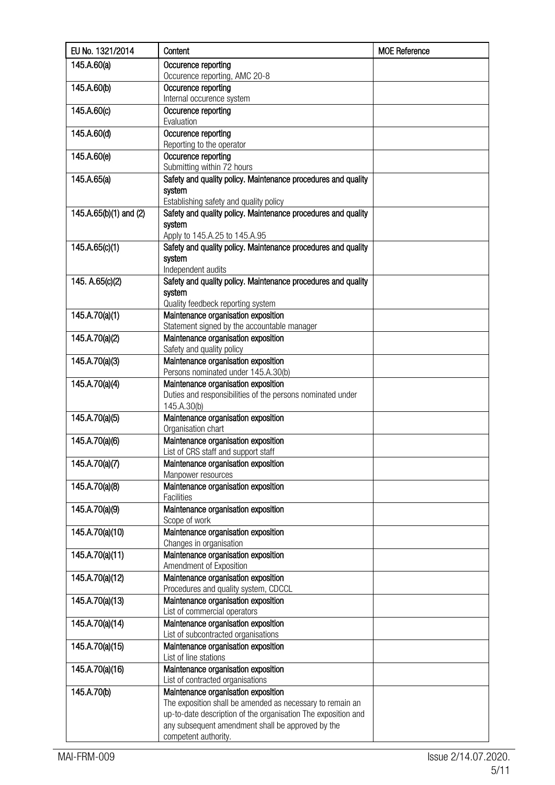| 145.A.60(a)<br>Occurence reporting<br>Occurence reporting, AMC 20-8<br>Occurence reporting<br>145.A.60(b)<br>Internal occurence system<br>145.A.60(c)<br>Occurence reporting<br>Evaluation<br>145.A.60(d)<br>Occurence reporting<br>Reporting to the operator<br>145.A.60(e)<br>Occurence reporting<br>Submitting within 72 hours<br>145.A.65(a)<br>Safety and quality policy. Maintenance procedures and quality<br>system<br>Establishing safety and quality policy<br>Safety and quality policy. Maintenance procedures and quality<br>145.A.65(b)(1) and (2)<br>system<br>Apply to 145.A.25 to 145.A.95<br>145.A.65(c)(1)<br>Safety and quality policy. Maintenance procedures and quality<br>system<br>Independent audits<br>Safety and quality policy. Maintenance procedures and quality<br>145. A.65(c)(2)<br>system<br>Quality feedbeck reporting system<br>Maintenance organisation exposition<br>145.A.70(a)(1)<br>Statement signed by the accountable manager<br>145.A.70(a)(2)<br>Maintenance organisation exposition<br>Safety and quality policy<br>Maintenance organisation exposition<br>145.A.70(a)(3)<br>Persons nominated under 145.A.30(b)<br>Maintenance organisation exposition<br>145.A.70(a)(4)<br>Duties and responsibilities of the persons nominated under<br>145.A.30(b)<br>145.A.70(a)(5)<br>Maintenance organisation exposition<br>Organisation chart<br>Maintenance organisation exposition<br>145.A.70(a)(6)<br>List of CRS staff and support staff<br>145.A.70(a)(7)<br>Maintenance organisation exposition<br>Manpower resources<br>145.A.70(a)(8)<br>Maintenance organisation exposition<br><b>Facilities</b><br>145.A.70(a)(9)<br>Maintenance organisation exposition<br>Scope of work<br>145.A.70(a)(10)<br>Maintenance organisation exposition<br>Changes in organisation<br>145.A.70(a)(11)<br>Maintenance organisation exposition<br>Amendment of Exposition<br>145.A.70(a)(12)<br>Maintenance organisation exposition<br>Procedures and quality system, CDCCL<br>145.A.70(a)(13)<br>Maintenance organisation exposition<br>List of commercial operators<br>145.A.70(a)(14)<br>Maintenance organisation exposition<br>List of subcontracted organisations<br>145.A.70(a)(15)<br>Maintenance organisation exposition<br>List of line stations<br>Maintenance organisation exposition<br>145.A.70(a)(16)<br>List of contracted organisations<br>Maintenance organisation exposition<br>145.A.70(b)<br>The exposition shall be amended as necessary to remain an<br>up-to-date description of the organisation The exposition and<br>any subsequent amendment shall be approved by the<br>competent authority. | EU No. 1321/2014 | Content | <b>MOE Reference</b> |
|------------------------------------------------------------------------------------------------------------------------------------------------------------------------------------------------------------------------------------------------------------------------------------------------------------------------------------------------------------------------------------------------------------------------------------------------------------------------------------------------------------------------------------------------------------------------------------------------------------------------------------------------------------------------------------------------------------------------------------------------------------------------------------------------------------------------------------------------------------------------------------------------------------------------------------------------------------------------------------------------------------------------------------------------------------------------------------------------------------------------------------------------------------------------------------------------------------------------------------------------------------------------------------------------------------------------------------------------------------------------------------------------------------------------------------------------------------------------------------------------------------------------------------------------------------------------------------------------------------------------------------------------------------------------------------------------------------------------------------------------------------------------------------------------------------------------------------------------------------------------------------------------------------------------------------------------------------------------------------------------------------------------------------------------------------------------------------------------------------------------------------------------------------------------------------------------------------------------------------------------------------------------------------------------------------------------------------------------------------------------------------------------------------------------------------------------------------------------------------------------------------------------------------------------------------------------------------------------------------------------------------------------------|------------------|---------|----------------------|
|                                                                                                                                                                                                                                                                                                                                                                                                                                                                                                                                                                                                                                                                                                                                                                                                                                                                                                                                                                                                                                                                                                                                                                                                                                                                                                                                                                                                                                                                                                                                                                                                                                                                                                                                                                                                                                                                                                                                                                                                                                                                                                                                                                                                                                                                                                                                                                                                                                                                                                                                                                                                                                                      |                  |         |                      |
|                                                                                                                                                                                                                                                                                                                                                                                                                                                                                                                                                                                                                                                                                                                                                                                                                                                                                                                                                                                                                                                                                                                                                                                                                                                                                                                                                                                                                                                                                                                                                                                                                                                                                                                                                                                                                                                                                                                                                                                                                                                                                                                                                                                                                                                                                                                                                                                                                                                                                                                                                                                                                                                      |                  |         |                      |
|                                                                                                                                                                                                                                                                                                                                                                                                                                                                                                                                                                                                                                                                                                                                                                                                                                                                                                                                                                                                                                                                                                                                                                                                                                                                                                                                                                                                                                                                                                                                                                                                                                                                                                                                                                                                                                                                                                                                                                                                                                                                                                                                                                                                                                                                                                                                                                                                                                                                                                                                                                                                                                                      |                  |         |                      |
|                                                                                                                                                                                                                                                                                                                                                                                                                                                                                                                                                                                                                                                                                                                                                                                                                                                                                                                                                                                                                                                                                                                                                                                                                                                                                                                                                                                                                                                                                                                                                                                                                                                                                                                                                                                                                                                                                                                                                                                                                                                                                                                                                                                                                                                                                                                                                                                                                                                                                                                                                                                                                                                      |                  |         |                      |
|                                                                                                                                                                                                                                                                                                                                                                                                                                                                                                                                                                                                                                                                                                                                                                                                                                                                                                                                                                                                                                                                                                                                                                                                                                                                                                                                                                                                                                                                                                                                                                                                                                                                                                                                                                                                                                                                                                                                                                                                                                                                                                                                                                                                                                                                                                                                                                                                                                                                                                                                                                                                                                                      |                  |         |                      |
|                                                                                                                                                                                                                                                                                                                                                                                                                                                                                                                                                                                                                                                                                                                                                                                                                                                                                                                                                                                                                                                                                                                                                                                                                                                                                                                                                                                                                                                                                                                                                                                                                                                                                                                                                                                                                                                                                                                                                                                                                                                                                                                                                                                                                                                                                                                                                                                                                                                                                                                                                                                                                                                      |                  |         |                      |
|                                                                                                                                                                                                                                                                                                                                                                                                                                                                                                                                                                                                                                                                                                                                                                                                                                                                                                                                                                                                                                                                                                                                                                                                                                                                                                                                                                                                                                                                                                                                                                                                                                                                                                                                                                                                                                                                                                                                                                                                                                                                                                                                                                                                                                                                                                                                                                                                                                                                                                                                                                                                                                                      |                  |         |                      |
|                                                                                                                                                                                                                                                                                                                                                                                                                                                                                                                                                                                                                                                                                                                                                                                                                                                                                                                                                                                                                                                                                                                                                                                                                                                                                                                                                                                                                                                                                                                                                                                                                                                                                                                                                                                                                                                                                                                                                                                                                                                                                                                                                                                                                                                                                                                                                                                                                                                                                                                                                                                                                                                      |                  |         |                      |
|                                                                                                                                                                                                                                                                                                                                                                                                                                                                                                                                                                                                                                                                                                                                                                                                                                                                                                                                                                                                                                                                                                                                                                                                                                                                                                                                                                                                                                                                                                                                                                                                                                                                                                                                                                                                                                                                                                                                                                                                                                                                                                                                                                                                                                                                                                                                                                                                                                                                                                                                                                                                                                                      |                  |         |                      |
|                                                                                                                                                                                                                                                                                                                                                                                                                                                                                                                                                                                                                                                                                                                                                                                                                                                                                                                                                                                                                                                                                                                                                                                                                                                                                                                                                                                                                                                                                                                                                                                                                                                                                                                                                                                                                                                                                                                                                                                                                                                                                                                                                                                                                                                                                                                                                                                                                                                                                                                                                                                                                                                      |                  |         |                      |
|                                                                                                                                                                                                                                                                                                                                                                                                                                                                                                                                                                                                                                                                                                                                                                                                                                                                                                                                                                                                                                                                                                                                                                                                                                                                                                                                                                                                                                                                                                                                                                                                                                                                                                                                                                                                                                                                                                                                                                                                                                                                                                                                                                                                                                                                                                                                                                                                                                                                                                                                                                                                                                                      |                  |         |                      |
|                                                                                                                                                                                                                                                                                                                                                                                                                                                                                                                                                                                                                                                                                                                                                                                                                                                                                                                                                                                                                                                                                                                                                                                                                                                                                                                                                                                                                                                                                                                                                                                                                                                                                                                                                                                                                                                                                                                                                                                                                                                                                                                                                                                                                                                                                                                                                                                                                                                                                                                                                                                                                                                      |                  |         |                      |
|                                                                                                                                                                                                                                                                                                                                                                                                                                                                                                                                                                                                                                                                                                                                                                                                                                                                                                                                                                                                                                                                                                                                                                                                                                                                                                                                                                                                                                                                                                                                                                                                                                                                                                                                                                                                                                                                                                                                                                                                                                                                                                                                                                                                                                                                                                                                                                                                                                                                                                                                                                                                                                                      |                  |         |                      |
|                                                                                                                                                                                                                                                                                                                                                                                                                                                                                                                                                                                                                                                                                                                                                                                                                                                                                                                                                                                                                                                                                                                                                                                                                                                                                                                                                                                                                                                                                                                                                                                                                                                                                                                                                                                                                                                                                                                                                                                                                                                                                                                                                                                                                                                                                                                                                                                                                                                                                                                                                                                                                                                      |                  |         |                      |
|                                                                                                                                                                                                                                                                                                                                                                                                                                                                                                                                                                                                                                                                                                                                                                                                                                                                                                                                                                                                                                                                                                                                                                                                                                                                                                                                                                                                                                                                                                                                                                                                                                                                                                                                                                                                                                                                                                                                                                                                                                                                                                                                                                                                                                                                                                                                                                                                                                                                                                                                                                                                                                                      |                  |         |                      |
|                                                                                                                                                                                                                                                                                                                                                                                                                                                                                                                                                                                                                                                                                                                                                                                                                                                                                                                                                                                                                                                                                                                                                                                                                                                                                                                                                                                                                                                                                                                                                                                                                                                                                                                                                                                                                                                                                                                                                                                                                                                                                                                                                                                                                                                                                                                                                                                                                                                                                                                                                                                                                                                      |                  |         |                      |
|                                                                                                                                                                                                                                                                                                                                                                                                                                                                                                                                                                                                                                                                                                                                                                                                                                                                                                                                                                                                                                                                                                                                                                                                                                                                                                                                                                                                                                                                                                                                                                                                                                                                                                                                                                                                                                                                                                                                                                                                                                                                                                                                                                                                                                                                                                                                                                                                                                                                                                                                                                                                                                                      |                  |         |                      |
|                                                                                                                                                                                                                                                                                                                                                                                                                                                                                                                                                                                                                                                                                                                                                                                                                                                                                                                                                                                                                                                                                                                                                                                                                                                                                                                                                                                                                                                                                                                                                                                                                                                                                                                                                                                                                                                                                                                                                                                                                                                                                                                                                                                                                                                                                                                                                                                                                                                                                                                                                                                                                                                      |                  |         |                      |
|                                                                                                                                                                                                                                                                                                                                                                                                                                                                                                                                                                                                                                                                                                                                                                                                                                                                                                                                                                                                                                                                                                                                                                                                                                                                                                                                                                                                                                                                                                                                                                                                                                                                                                                                                                                                                                                                                                                                                                                                                                                                                                                                                                                                                                                                                                                                                                                                                                                                                                                                                                                                                                                      |                  |         |                      |
|                                                                                                                                                                                                                                                                                                                                                                                                                                                                                                                                                                                                                                                                                                                                                                                                                                                                                                                                                                                                                                                                                                                                                                                                                                                                                                                                                                                                                                                                                                                                                                                                                                                                                                                                                                                                                                                                                                                                                                                                                                                                                                                                                                                                                                                                                                                                                                                                                                                                                                                                                                                                                                                      |                  |         |                      |
|                                                                                                                                                                                                                                                                                                                                                                                                                                                                                                                                                                                                                                                                                                                                                                                                                                                                                                                                                                                                                                                                                                                                                                                                                                                                                                                                                                                                                                                                                                                                                                                                                                                                                                                                                                                                                                                                                                                                                                                                                                                                                                                                                                                                                                                                                                                                                                                                                                                                                                                                                                                                                                                      |                  |         |                      |
|                                                                                                                                                                                                                                                                                                                                                                                                                                                                                                                                                                                                                                                                                                                                                                                                                                                                                                                                                                                                                                                                                                                                                                                                                                                                                                                                                                                                                                                                                                                                                                                                                                                                                                                                                                                                                                                                                                                                                                                                                                                                                                                                                                                                                                                                                                                                                                                                                                                                                                                                                                                                                                                      |                  |         |                      |
|                                                                                                                                                                                                                                                                                                                                                                                                                                                                                                                                                                                                                                                                                                                                                                                                                                                                                                                                                                                                                                                                                                                                                                                                                                                                                                                                                                                                                                                                                                                                                                                                                                                                                                                                                                                                                                                                                                                                                                                                                                                                                                                                                                                                                                                                                                                                                                                                                                                                                                                                                                                                                                                      |                  |         |                      |
|                                                                                                                                                                                                                                                                                                                                                                                                                                                                                                                                                                                                                                                                                                                                                                                                                                                                                                                                                                                                                                                                                                                                                                                                                                                                                                                                                                                                                                                                                                                                                                                                                                                                                                                                                                                                                                                                                                                                                                                                                                                                                                                                                                                                                                                                                                                                                                                                                                                                                                                                                                                                                                                      |                  |         |                      |
|                                                                                                                                                                                                                                                                                                                                                                                                                                                                                                                                                                                                                                                                                                                                                                                                                                                                                                                                                                                                                                                                                                                                                                                                                                                                                                                                                                                                                                                                                                                                                                                                                                                                                                                                                                                                                                                                                                                                                                                                                                                                                                                                                                                                                                                                                                                                                                                                                                                                                                                                                                                                                                                      |                  |         |                      |
|                                                                                                                                                                                                                                                                                                                                                                                                                                                                                                                                                                                                                                                                                                                                                                                                                                                                                                                                                                                                                                                                                                                                                                                                                                                                                                                                                                                                                                                                                                                                                                                                                                                                                                                                                                                                                                                                                                                                                                                                                                                                                                                                                                                                                                                                                                                                                                                                                                                                                                                                                                                                                                                      |                  |         |                      |
|                                                                                                                                                                                                                                                                                                                                                                                                                                                                                                                                                                                                                                                                                                                                                                                                                                                                                                                                                                                                                                                                                                                                                                                                                                                                                                                                                                                                                                                                                                                                                                                                                                                                                                                                                                                                                                                                                                                                                                                                                                                                                                                                                                                                                                                                                                                                                                                                                                                                                                                                                                                                                                                      |                  |         |                      |
|                                                                                                                                                                                                                                                                                                                                                                                                                                                                                                                                                                                                                                                                                                                                                                                                                                                                                                                                                                                                                                                                                                                                                                                                                                                                                                                                                                                                                                                                                                                                                                                                                                                                                                                                                                                                                                                                                                                                                                                                                                                                                                                                                                                                                                                                                                                                                                                                                                                                                                                                                                                                                                                      |                  |         |                      |
|                                                                                                                                                                                                                                                                                                                                                                                                                                                                                                                                                                                                                                                                                                                                                                                                                                                                                                                                                                                                                                                                                                                                                                                                                                                                                                                                                                                                                                                                                                                                                                                                                                                                                                                                                                                                                                                                                                                                                                                                                                                                                                                                                                                                                                                                                                                                                                                                                                                                                                                                                                                                                                                      |                  |         |                      |
|                                                                                                                                                                                                                                                                                                                                                                                                                                                                                                                                                                                                                                                                                                                                                                                                                                                                                                                                                                                                                                                                                                                                                                                                                                                                                                                                                                                                                                                                                                                                                                                                                                                                                                                                                                                                                                                                                                                                                                                                                                                                                                                                                                                                                                                                                                                                                                                                                                                                                                                                                                                                                                                      |                  |         |                      |
|                                                                                                                                                                                                                                                                                                                                                                                                                                                                                                                                                                                                                                                                                                                                                                                                                                                                                                                                                                                                                                                                                                                                                                                                                                                                                                                                                                                                                                                                                                                                                                                                                                                                                                                                                                                                                                                                                                                                                                                                                                                                                                                                                                                                                                                                                                                                                                                                                                                                                                                                                                                                                                                      |                  |         |                      |
|                                                                                                                                                                                                                                                                                                                                                                                                                                                                                                                                                                                                                                                                                                                                                                                                                                                                                                                                                                                                                                                                                                                                                                                                                                                                                                                                                                                                                                                                                                                                                                                                                                                                                                                                                                                                                                                                                                                                                                                                                                                                                                                                                                                                                                                                                                                                                                                                                                                                                                                                                                                                                                                      |                  |         |                      |
|                                                                                                                                                                                                                                                                                                                                                                                                                                                                                                                                                                                                                                                                                                                                                                                                                                                                                                                                                                                                                                                                                                                                                                                                                                                                                                                                                                                                                                                                                                                                                                                                                                                                                                                                                                                                                                                                                                                                                                                                                                                                                                                                                                                                                                                                                                                                                                                                                                                                                                                                                                                                                                                      |                  |         |                      |
|                                                                                                                                                                                                                                                                                                                                                                                                                                                                                                                                                                                                                                                                                                                                                                                                                                                                                                                                                                                                                                                                                                                                                                                                                                                                                                                                                                                                                                                                                                                                                                                                                                                                                                                                                                                                                                                                                                                                                                                                                                                                                                                                                                                                                                                                                                                                                                                                                                                                                                                                                                                                                                                      |                  |         |                      |
|                                                                                                                                                                                                                                                                                                                                                                                                                                                                                                                                                                                                                                                                                                                                                                                                                                                                                                                                                                                                                                                                                                                                                                                                                                                                                                                                                                                                                                                                                                                                                                                                                                                                                                                                                                                                                                                                                                                                                                                                                                                                                                                                                                                                                                                                                                                                                                                                                                                                                                                                                                                                                                                      |                  |         |                      |
|                                                                                                                                                                                                                                                                                                                                                                                                                                                                                                                                                                                                                                                                                                                                                                                                                                                                                                                                                                                                                                                                                                                                                                                                                                                                                                                                                                                                                                                                                                                                                                                                                                                                                                                                                                                                                                                                                                                                                                                                                                                                                                                                                                                                                                                                                                                                                                                                                                                                                                                                                                                                                                                      |                  |         |                      |
|                                                                                                                                                                                                                                                                                                                                                                                                                                                                                                                                                                                                                                                                                                                                                                                                                                                                                                                                                                                                                                                                                                                                                                                                                                                                                                                                                                                                                                                                                                                                                                                                                                                                                                                                                                                                                                                                                                                                                                                                                                                                                                                                                                                                                                                                                                                                                                                                                                                                                                                                                                                                                                                      |                  |         |                      |
|                                                                                                                                                                                                                                                                                                                                                                                                                                                                                                                                                                                                                                                                                                                                                                                                                                                                                                                                                                                                                                                                                                                                                                                                                                                                                                                                                                                                                                                                                                                                                                                                                                                                                                                                                                                                                                                                                                                                                                                                                                                                                                                                                                                                                                                                                                                                                                                                                                                                                                                                                                                                                                                      |                  |         |                      |
|                                                                                                                                                                                                                                                                                                                                                                                                                                                                                                                                                                                                                                                                                                                                                                                                                                                                                                                                                                                                                                                                                                                                                                                                                                                                                                                                                                                                                                                                                                                                                                                                                                                                                                                                                                                                                                                                                                                                                                                                                                                                                                                                                                                                                                                                                                                                                                                                                                                                                                                                                                                                                                                      |                  |         |                      |
|                                                                                                                                                                                                                                                                                                                                                                                                                                                                                                                                                                                                                                                                                                                                                                                                                                                                                                                                                                                                                                                                                                                                                                                                                                                                                                                                                                                                                                                                                                                                                                                                                                                                                                                                                                                                                                                                                                                                                                                                                                                                                                                                                                                                                                                                                                                                                                                                                                                                                                                                                                                                                                                      |                  |         |                      |
|                                                                                                                                                                                                                                                                                                                                                                                                                                                                                                                                                                                                                                                                                                                                                                                                                                                                                                                                                                                                                                                                                                                                                                                                                                                                                                                                                                                                                                                                                                                                                                                                                                                                                                                                                                                                                                                                                                                                                                                                                                                                                                                                                                                                                                                                                                                                                                                                                                                                                                                                                                                                                                                      |                  |         |                      |
|                                                                                                                                                                                                                                                                                                                                                                                                                                                                                                                                                                                                                                                                                                                                                                                                                                                                                                                                                                                                                                                                                                                                                                                                                                                                                                                                                                                                                                                                                                                                                                                                                                                                                                                                                                                                                                                                                                                                                                                                                                                                                                                                                                                                                                                                                                                                                                                                                                                                                                                                                                                                                                                      |                  |         |                      |
|                                                                                                                                                                                                                                                                                                                                                                                                                                                                                                                                                                                                                                                                                                                                                                                                                                                                                                                                                                                                                                                                                                                                                                                                                                                                                                                                                                                                                                                                                                                                                                                                                                                                                                                                                                                                                                                                                                                                                                                                                                                                                                                                                                                                                                                                                                                                                                                                                                                                                                                                                                                                                                                      |                  |         |                      |
|                                                                                                                                                                                                                                                                                                                                                                                                                                                                                                                                                                                                                                                                                                                                                                                                                                                                                                                                                                                                                                                                                                                                                                                                                                                                                                                                                                                                                                                                                                                                                                                                                                                                                                                                                                                                                                                                                                                                                                                                                                                                                                                                                                                                                                                                                                                                                                                                                                                                                                                                                                                                                                                      |                  |         |                      |
|                                                                                                                                                                                                                                                                                                                                                                                                                                                                                                                                                                                                                                                                                                                                                                                                                                                                                                                                                                                                                                                                                                                                                                                                                                                                                                                                                                                                                                                                                                                                                                                                                                                                                                                                                                                                                                                                                                                                                                                                                                                                                                                                                                                                                                                                                                                                                                                                                                                                                                                                                                                                                                                      |                  |         |                      |
|                                                                                                                                                                                                                                                                                                                                                                                                                                                                                                                                                                                                                                                                                                                                                                                                                                                                                                                                                                                                                                                                                                                                                                                                                                                                                                                                                                                                                                                                                                                                                                                                                                                                                                                                                                                                                                                                                                                                                                                                                                                                                                                                                                                                                                                                                                                                                                                                                                                                                                                                                                                                                                                      |                  |         |                      |
|                                                                                                                                                                                                                                                                                                                                                                                                                                                                                                                                                                                                                                                                                                                                                                                                                                                                                                                                                                                                                                                                                                                                                                                                                                                                                                                                                                                                                                                                                                                                                                                                                                                                                                                                                                                                                                                                                                                                                                                                                                                                                                                                                                                                                                                                                                                                                                                                                                                                                                                                                                                                                                                      |                  |         |                      |
|                                                                                                                                                                                                                                                                                                                                                                                                                                                                                                                                                                                                                                                                                                                                                                                                                                                                                                                                                                                                                                                                                                                                                                                                                                                                                                                                                                                                                                                                                                                                                                                                                                                                                                                                                                                                                                                                                                                                                                                                                                                                                                                                                                                                                                                                                                                                                                                                                                                                                                                                                                                                                                                      |                  |         |                      |
|                                                                                                                                                                                                                                                                                                                                                                                                                                                                                                                                                                                                                                                                                                                                                                                                                                                                                                                                                                                                                                                                                                                                                                                                                                                                                                                                                                                                                                                                                                                                                                                                                                                                                                                                                                                                                                                                                                                                                                                                                                                                                                                                                                                                                                                                                                                                                                                                                                                                                                                                                                                                                                                      |                  |         |                      |
|                                                                                                                                                                                                                                                                                                                                                                                                                                                                                                                                                                                                                                                                                                                                                                                                                                                                                                                                                                                                                                                                                                                                                                                                                                                                                                                                                                                                                                                                                                                                                                                                                                                                                                                                                                                                                                                                                                                                                                                                                                                                                                                                                                                                                                                                                                                                                                                                                                                                                                                                                                                                                                                      |                  |         |                      |
|                                                                                                                                                                                                                                                                                                                                                                                                                                                                                                                                                                                                                                                                                                                                                                                                                                                                                                                                                                                                                                                                                                                                                                                                                                                                                                                                                                                                                                                                                                                                                                                                                                                                                                                                                                                                                                                                                                                                                                                                                                                                                                                                                                                                                                                                                                                                                                                                                                                                                                                                                                                                                                                      |                  |         |                      |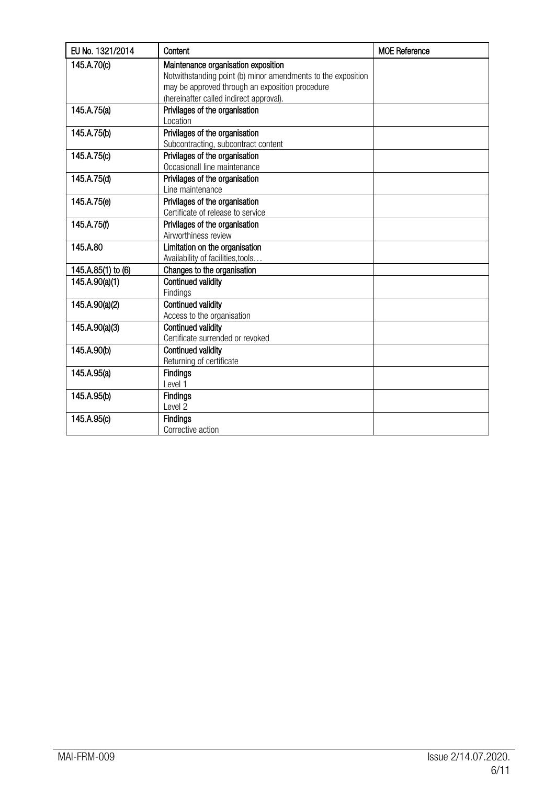| EU No. 1321/2014   | Content                                                      | <b>MOE Reference</b> |
|--------------------|--------------------------------------------------------------|----------------------|
| 145.A.70(c)        | Maintenance organisation exposition                          |                      |
|                    | Notwithstanding point (b) minor amendments to the exposition |                      |
|                    | may be approved through an exposition procedure              |                      |
|                    | (hereinafter called indirect approval).                      |                      |
| 145.A.75(a)        | Privilages of the organisation                               |                      |
|                    | Location                                                     |                      |
| 145.A.75(b)        | Privilages of the organisation                               |                      |
|                    | Subcontracting, subcontract content                          |                      |
| 145.A.75(c)        | Privilages of the organisation                               |                      |
|                    | Occasionall line maintenance                                 |                      |
| 145.A.75(d)        | Privilages of the organisation                               |                      |
|                    | Line maintenance                                             |                      |
| 145.A.75(e)        | Privilages of the organisation                               |                      |
|                    | Certificate of release to service                            |                      |
| 145.A.75(f)        | Privilages of the organisation                               |                      |
|                    | Airworthiness review                                         |                      |
| 145.A.80           | Limitation on the organisation                               |                      |
|                    | Availability of facilities, tools                            |                      |
| 145.A.85(1) to (6) | Changes to the organisation                                  |                      |
| 145.A.90(a)(1)     | Continued validity                                           |                      |
|                    | Findings                                                     |                      |
| 145.A.90(a)(2)     | <b>Continued validity</b>                                    |                      |
|                    | Access to the organisation                                   |                      |
| 145.A.90(a)(3)     | <b>Continued validity</b>                                    |                      |
|                    | Certificate surrended or revoked                             |                      |
| 145.A.90(b)        | <b>Continued validity</b>                                    |                      |
|                    | Returning of certificate                                     |                      |
| 145.A.95(a)        | <b>Findings</b>                                              |                      |
|                    | Level 1                                                      |                      |
| 145.A.95(b)        | <b>Findings</b>                                              |                      |
|                    | Level <sub>2</sub>                                           |                      |
| 145.A.95(c)        | <b>Findings</b>                                              |                      |
|                    | Corrective action                                            |                      |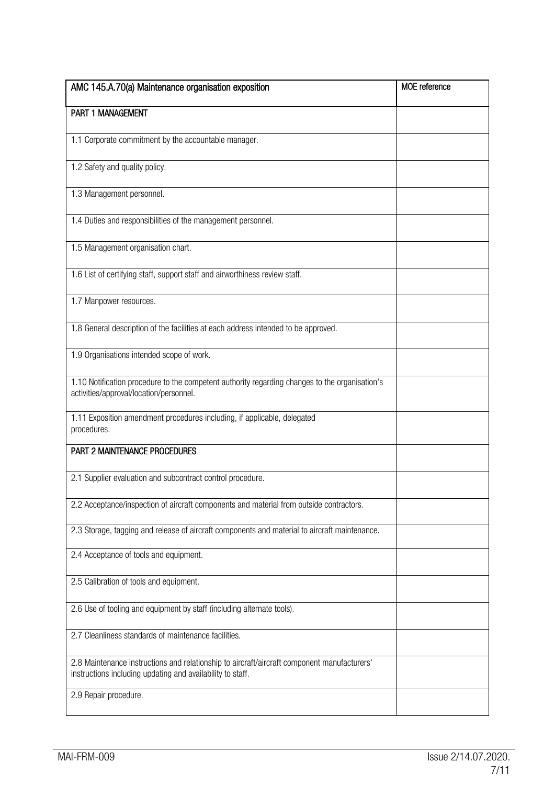| AMC 145.A.70(a) Maintenance organisation exposition                                                                                                       | <b>MOE</b> reference |
|-----------------------------------------------------------------------------------------------------------------------------------------------------------|----------------------|
| PART 1 MANAGEMENT                                                                                                                                         |                      |
| 1.1 Corporate commitment by the accountable manager.                                                                                                      |                      |
| 1.2 Safety and quality policy.                                                                                                                            |                      |
| 1.3 Management personnel.                                                                                                                                 |                      |
| 1.4 Duties and responsibilities of the management personnel.                                                                                              |                      |
| 1.5 Management organisation chart.                                                                                                                        |                      |
| 1.6 List of certifying staff, support staff and airworthiness review staff.                                                                               |                      |
| 1.7 Manpower resources.                                                                                                                                   |                      |
| 1.8 General description of the facilities at each address intended to be approved.                                                                        |                      |
| 1.9 Organisations intended scope of work.                                                                                                                 |                      |
| 1.10 Notification procedure to the competent authority regarding changes to the organisation's<br>activities/approval/location/personnel.                 |                      |
| 1.11 Exposition amendment procedures including, if applicable, delegated<br>procedures.                                                                   |                      |
| PART 2 MAINTENANCE PROCEDURES                                                                                                                             |                      |
| 2.1 Supplier evaluation and subcontract control procedure.                                                                                                |                      |
| 2.2 Acceptance/inspection of aircraft components and material from outside contractors.                                                                   |                      |
| 2.3 Storage, tagging and release of aircraft components and material to aircraft maintenance.                                                             |                      |
| 2.4 Acceptance of tools and equipment.                                                                                                                    |                      |
| 2.5 Calibration of tools and equipment.                                                                                                                   |                      |
| 2.6 Use of tooling and equipment by staff (including alternate tools).                                                                                    |                      |
| 2.7 Cleanliness standards of maintenance facilities.                                                                                                      |                      |
| 2.8 Maintenance instructions and relationship to aircraft/aircraft component manufacturers'<br>instructions including updating and availability to staff. |                      |
| 2.9 Repair procedure.                                                                                                                                     |                      |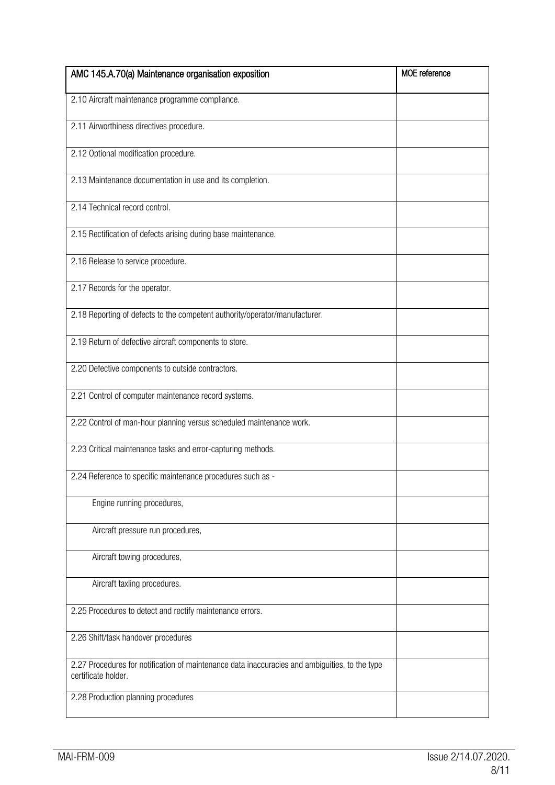| AMC 145.A.70(a) Maintenance organisation exposition                                                                   | <b>MOE</b> reference |
|-----------------------------------------------------------------------------------------------------------------------|----------------------|
| 2.10 Aircraft maintenance programme compliance.                                                                       |                      |
| 2.11 Airworthiness directives procedure.                                                                              |                      |
| 2.12 Optional modification procedure.                                                                                 |                      |
| 2.13 Maintenance documentation in use and its completion.                                                             |                      |
| 2.14 Technical record control.                                                                                        |                      |
| 2.15 Rectification of defects arising during base maintenance.                                                        |                      |
| 2.16 Release to service procedure.                                                                                    |                      |
| 2.17 Records for the operator.                                                                                        |                      |
| 2.18 Reporting of defects to the competent authority/operator/manufacturer.                                           |                      |
| 2.19 Return of defective aircraft components to store.                                                                |                      |
| 2.20 Defective components to outside contractors.                                                                     |                      |
| 2.21 Control of computer maintenance record systems.                                                                  |                      |
| 2.22 Control of man-hour planning versus scheduled maintenance work.                                                  |                      |
| 2.23 Critical maintenance tasks and error-capturing methods.                                                          |                      |
| 2.24 Reference to specific maintenance procedures such as -                                                           |                      |
| Engine running procedures,                                                                                            |                      |
| Aircraft pressure run procedures,                                                                                     |                      |
| Aircraft towing procedures,                                                                                           |                      |
| Aircraft taxling procedures.                                                                                          |                      |
| 2.25 Procedures to detect and rectify maintenance errors.                                                             |                      |
| 2.26 Shift/task handover procedures                                                                                   |                      |
| 2.27 Procedures for notification of maintenance data inaccuracies and ambiguities, to the type<br>certificate holder. |                      |
| 2.28 Production planning procedures                                                                                   |                      |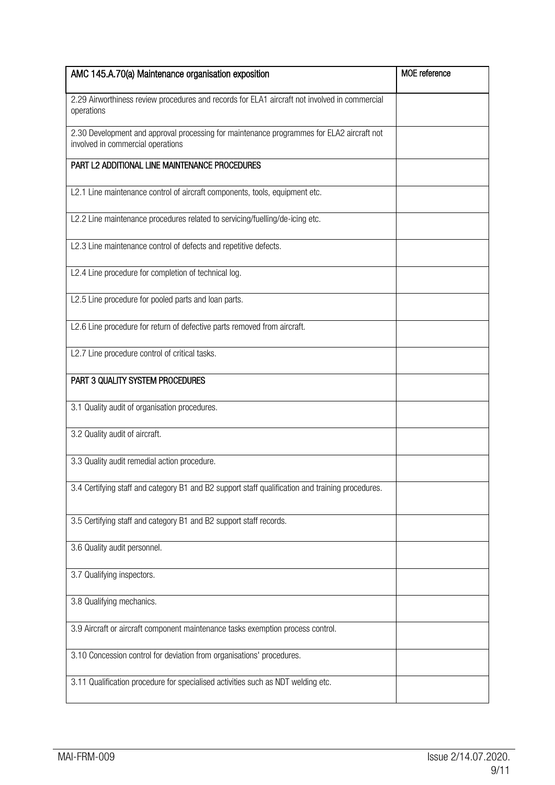| AMC 145.A.70(a) Maintenance organisation exposition                                                                            | <b>MOE</b> reference |
|--------------------------------------------------------------------------------------------------------------------------------|----------------------|
| 2.29 Airworthiness review procedures and records for ELA1 aircraft not involved in commercial<br>operations                    |                      |
| 2.30 Development and approval processing for maintenance programmes for ELA2 aircraft not<br>involved in commercial operations |                      |
| PART L2 ADDITIONAL LINE MAINTENANCE PROCEDURES                                                                                 |                      |
| L2.1 Line maintenance control of aircraft components, tools, equipment etc.                                                    |                      |
| L2.2 Line maintenance procedures related to servicing/fuelling/de-icing etc.                                                   |                      |
| L2.3 Line maintenance control of defects and repetitive defects.                                                               |                      |
| L2.4 Line procedure for completion of technical log.                                                                           |                      |
| L2.5 Line procedure for pooled parts and loan parts.                                                                           |                      |
| L2.6 Line procedure for return of defective parts removed from aircraft.                                                       |                      |
| L2.7 Line procedure control of critical tasks.                                                                                 |                      |
| PART 3 QUALITY SYSTEM PROCEDURES                                                                                               |                      |
| 3.1 Quality audit of organisation procedures.                                                                                  |                      |
| 3.2 Quality audit of aircraft.                                                                                                 |                      |
| 3.3 Quality audit remedial action procedure.                                                                                   |                      |
| 3.4 Certifying staff and category B1 and B2 support staff qualification and training procedures.                               |                      |
| 3.5 Certifying staff and category B1 and B2 support staff records.                                                             |                      |
| 3.6 Quality audit personnel.                                                                                                   |                      |
| 3.7 Qualifying inspectors.                                                                                                     |                      |
| 3.8 Qualifying mechanics.                                                                                                      |                      |
| 3.9 Aircraft or aircraft component maintenance tasks exemption process control.                                                |                      |
| 3.10 Concession control for deviation from organisations' procedures.                                                          |                      |
| 3.11 Qualification procedure for specialised activities such as NDT welding etc.                                               |                      |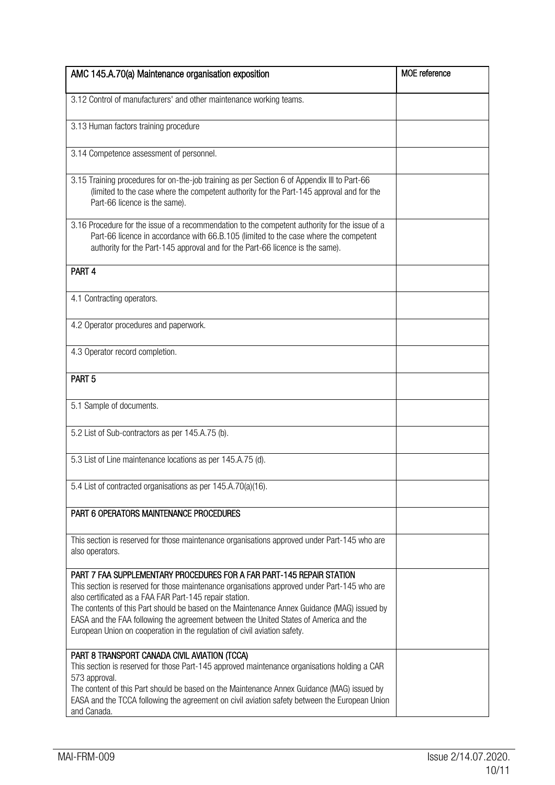| AMC 145.A.70(a) Maintenance organisation exposition                                                                                                                                                                                                                                                                                                                                                                                                                                                   | <b>MOE</b> reference |
|-------------------------------------------------------------------------------------------------------------------------------------------------------------------------------------------------------------------------------------------------------------------------------------------------------------------------------------------------------------------------------------------------------------------------------------------------------------------------------------------------------|----------------------|
| 3.12 Control of manufacturers' and other maintenance working teams.                                                                                                                                                                                                                                                                                                                                                                                                                                   |                      |
|                                                                                                                                                                                                                                                                                                                                                                                                                                                                                                       |                      |
| 3.13 Human factors training procedure                                                                                                                                                                                                                                                                                                                                                                                                                                                                 |                      |
| 3.14 Competence assessment of personnel.                                                                                                                                                                                                                                                                                                                                                                                                                                                              |                      |
| 3.15 Training procedures for on-the-job training as per Section 6 of Appendix III to Part-66<br>(limited to the case where the competent authority for the Part-145 approval and for the<br>Part-66 licence is the same).                                                                                                                                                                                                                                                                             |                      |
| 3.16 Procedure for the issue of a recommendation to the competent authority for the issue of a<br>Part-66 licence in accordance with 66.B.105 (limited to the case where the competent<br>authority for the Part-145 approval and for the Part-66 licence is the same).                                                                                                                                                                                                                               |                      |
| PART <sub>4</sub>                                                                                                                                                                                                                                                                                                                                                                                                                                                                                     |                      |
| 4.1 Contracting operators.                                                                                                                                                                                                                                                                                                                                                                                                                                                                            |                      |
| 4.2 Operator procedures and paperwork.                                                                                                                                                                                                                                                                                                                                                                                                                                                                |                      |
| 4.3 Operator record completion.                                                                                                                                                                                                                                                                                                                                                                                                                                                                       |                      |
| PART <sub>5</sub>                                                                                                                                                                                                                                                                                                                                                                                                                                                                                     |                      |
| 5.1 Sample of documents.                                                                                                                                                                                                                                                                                                                                                                                                                                                                              |                      |
| 5.2 List of Sub-contractors as per 145.A.75 (b).                                                                                                                                                                                                                                                                                                                                                                                                                                                      |                      |
| 5.3 List of Line maintenance locations as per 145.A.75 (d).                                                                                                                                                                                                                                                                                                                                                                                                                                           |                      |
| 5.4 List of contracted organisations as per 145.A.70(a)(16).                                                                                                                                                                                                                                                                                                                                                                                                                                          |                      |
| PART 6 OPERATORS MAINTENANCE PROCEDURES                                                                                                                                                                                                                                                                                                                                                                                                                                                               |                      |
| This section is reserved for those maintenance organisations approved under Part-145 who are<br>also operators.                                                                                                                                                                                                                                                                                                                                                                                       |                      |
| PART 7 FAA SUPPLEMENTARY PROCEDURES FOR A FAR PART-145 REPAIR STATION<br>This section is reserved for those maintenance organisations approved under Part-145 who are<br>also certificated as a FAA FAR Part-145 repair station.<br>The contents of this Part should be based on the Maintenance Annex Guidance (MAG) issued by<br>EASA and the FAA following the agreement between the United States of America and the<br>European Union on cooperation in the regulation of civil aviation safety. |                      |
| PART 8 TRANSPORT CANADA CIVIL AVIATION (TCCA)<br>This section is reserved for those Part-145 approved maintenance organisations holding a CAR<br>573 approval.<br>The content of this Part should be based on the Maintenance Annex Guidance (MAG) issued by<br>EASA and the TCCA following the agreement on civil aviation safety between the European Union<br>and Canada.                                                                                                                          |                      |